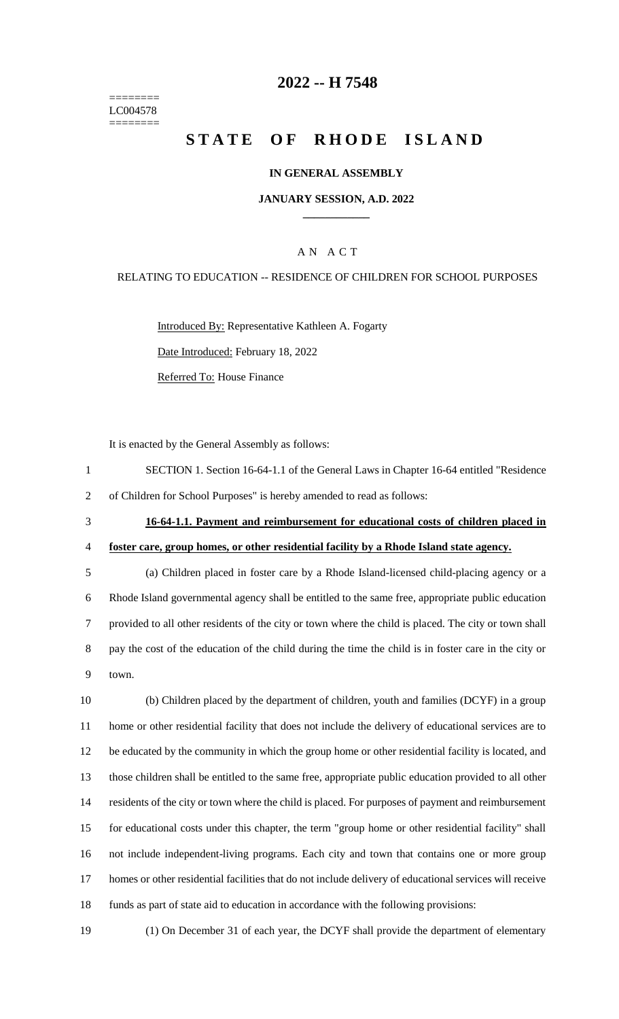======== LC004578 ========

# **-- H 7548**

# **STATE OF RHODE ISLAND**

#### **IN GENERAL ASSEMBLY**

#### **JANUARY SESSION, A.D. 2022 \_\_\_\_\_\_\_\_\_\_\_\_**

### A N A C T

#### RELATING TO EDUCATION -- RESIDENCE OF CHILDREN FOR SCHOOL PURPOSES

Introduced By: Representative Kathleen A. Fogarty Date Introduced: February 18, 2022 Referred To: House Finance

It is enacted by the General Assembly as follows:

 SECTION 1. Section 16-64-1.1 of the General Laws in Chapter 16-64 entitled "Residence of Children for School Purposes" is hereby amended to read as follows:

 **16-64-1.1. Payment and reimbursement for educational costs of children placed in foster care, group homes, or other residential facility by a Rhode Island state agency.**

 (a) Children placed in foster care by a Rhode Island-licensed child-placing agency or a Rhode Island governmental agency shall be entitled to the same free, appropriate public education provided to all other residents of the city or town where the child is placed. The city or town shall pay the cost of the education of the child during the time the child is in foster care in the city or town.

 (b) Children placed by the department of children, youth and families (DCYF) in a group home or other residential facility that does not include the delivery of educational services are to be educated by the community in which the group home or other residential facility is located, and those children shall be entitled to the same free, appropriate public education provided to all other residents of the city or town where the child is placed. For purposes of payment and reimbursement for educational costs under this chapter, the term "group home or other residential facility" shall not include independent-living programs. Each city and town that contains one or more group homes or other residential facilities that do not include delivery of educational services will receive funds as part of state aid to education in accordance with the following provisions:

(1) On December 31 of each year, the DCYF shall provide the department of elementary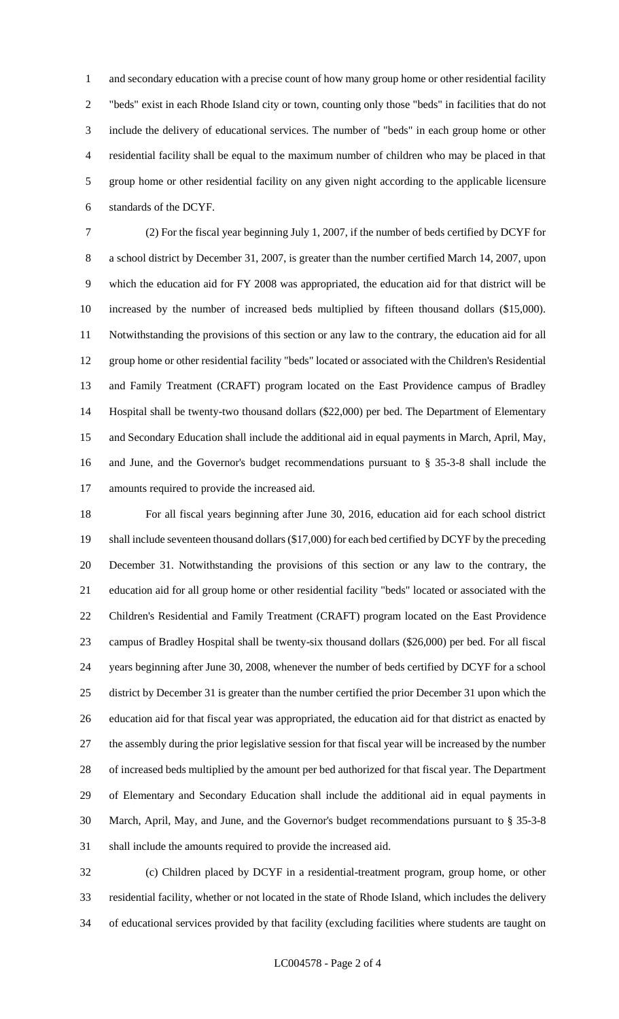1 and secondary education with a precise count of how many group home or other residential facility "beds" exist in each Rhode Island city or town, counting only those "beds" in facilities that do not include the delivery of educational services. The number of "beds" in each group home or other residential facility shall be equal to the maximum number of children who may be placed in that group home or other residential facility on any given night according to the applicable licensure standards of the DCYF.

 (2) For the fiscal year beginning July 1, 2007, if the number of beds certified by DCYF for a school district by December 31, 2007, is greater than the number certified March 14, 2007, upon which the education aid for FY 2008 was appropriated, the education aid for that district will be increased by the number of increased beds multiplied by fifteen thousand dollars (\$15,000). Notwithstanding the provisions of this section or any law to the contrary, the education aid for all group home or other residential facility "beds" located or associated with the Children's Residential and Family Treatment (CRAFT) program located on the East Providence campus of Bradley Hospital shall be twenty-two thousand dollars (\$22,000) per bed. The Department of Elementary and Secondary Education shall include the additional aid in equal payments in March, April, May, and June, and the Governor's budget recommendations pursuant to § 35-3-8 shall include the amounts required to provide the increased aid.

 For all fiscal years beginning after June 30, 2016, education aid for each school district shall include seventeen thousand dollars (\$17,000) for each bed certified by DCYF by the preceding December 31. Notwithstanding the provisions of this section or any law to the contrary, the education aid for all group home or other residential facility "beds" located or associated with the Children's Residential and Family Treatment (CRAFT) program located on the East Providence campus of Bradley Hospital shall be twenty-six thousand dollars (\$26,000) per bed. For all fiscal years beginning after June 30, 2008, whenever the number of beds certified by DCYF for a school district by December 31 is greater than the number certified the prior December 31 upon which the education aid for that fiscal year was appropriated, the education aid for that district as enacted by the assembly during the prior legislative session for that fiscal year will be increased by the number of increased beds multiplied by the amount per bed authorized for that fiscal year. The Department of Elementary and Secondary Education shall include the additional aid in equal payments in March, April, May, and June, and the Governor's budget recommendations pursuant to § 35-3-8 shall include the amounts required to provide the increased aid.

 (c) Children placed by DCYF in a residential-treatment program, group home, or other residential facility, whether or not located in the state of Rhode Island, which includes the delivery of educational services provided by that facility (excluding facilities where students are taught on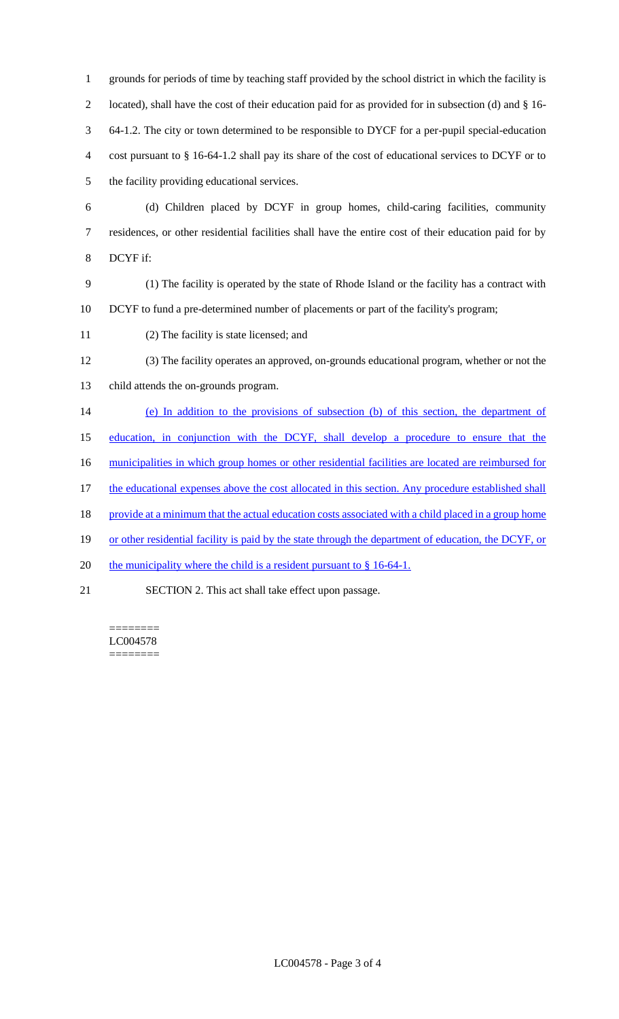| $\mathbf{1}$   | grounds for periods of time by teaching staff provided by the school district in which the facility is |
|----------------|--------------------------------------------------------------------------------------------------------|
| $\overline{c}$ | located), shall have the cost of their education paid for as provided for in subsection (d) and § 16-  |
| 3              | 64-1.2. The city or town determined to be responsible to DYCF for a per-pupil special-education        |
| $\overline{4}$ | cost pursuant to § 16-64-1.2 shall pay its share of the cost of educational services to DCYF or to     |
| 5              | the facility providing educational services.                                                           |
| 6              | (d) Children placed by DCYF in group homes, child-caring facilities, community                         |
| 7              | residences, or other residential facilities shall have the entire cost of their education paid for by  |
| 8              | DCYF if:                                                                                               |
| 9              | (1) The facility is operated by the state of Rhode Island or the facility has a contract with          |
| 10             | DCYF to fund a pre-determined number of placements or part of the facility's program;                  |
| 11             | (2) The facility is state licensed; and                                                                |
| 12             | (3) The facility operates an approved, on-grounds educational program, whether or not the              |
| 13             | child attends the on-grounds program.                                                                  |
| 14             | (e) In addition to the provisions of subsection (b) of this section, the department of                 |
| 15             | education, in conjunction with the DCYF, shall develop a procedure to ensure that the                  |
| 16             | municipalities in which group homes or other residential facilities are located are reimbursed for     |
| 17             | the educational expenses above the cost allocated in this section. Any procedure established shall     |
| 18             | provide at a minimum that the actual education costs associated with a child placed in a group home    |
| 19             | or other residential facility is paid by the state through the department of education, the DCYF, or   |
| 20             | the municipality where the child is a resident pursuant to $\S$ 16-64-1.                               |
| 21             | SECTION 2. This act shall take effect upon passage.                                                    |

======== LC004578 ========